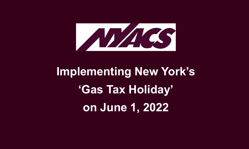

# **Implementing New York's 'Gas Tax Holiday' on June 1, 2022**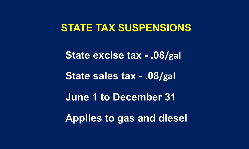### **STATE TAX SUSPENSIONS**

**State excise tax - .08/gal State sales tax - .08/gal June 1 to December 31 Applies to gas and diesel**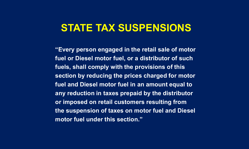# **STATE TAX SUSPENSIONS**

**"Every person engaged in the retail sale of motor fuel or Diesel motor fuel, or a distributor of such fuels, shall comply with the provisions of this section by reducing the prices charged for motor fuel and Diesel motor fuel in an amount equal to any reduction in taxes prepaid by the distributor or imposed on retail customers resulting from the suspension of taxes on motor fuel and Diesel motor fuel under this section."**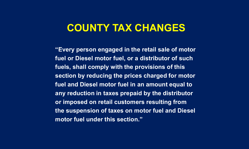### **COUNTY TAX CHANGES**

**"Every person engaged in the retail sale of motor fuel or Diesel motor fuel, or a distributor of such fuels, shall comply with the provisions of this section by reducing the prices charged for motor fuel and Diesel motor fuel in an amount equal to any reduction in taxes prepaid by the distributor or imposed on retail customers resulting from the suspension of taxes on motor fuel and Diesel motor fuel under this section."**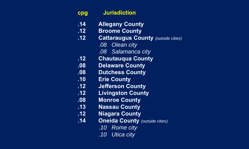| cpg | <b>Jurisdiction</b> |
|-----|---------------------|
|     |                     |

- **.14 Allegany County**
- **.12 Broome County**
- **.12 Cattaraugus County** *(outside cities)*
	- *.08 Olean city*
	- *.08 Salamanca city*
- **.12 Chautauqua County**
- **.08 Delaware County**
- **.08 Dutchess County**
- **.10 Erie County**
- **.12 Jefferson County**
- **.12 Livingston County**
- **.08 Monroe County**
- **.13 Nassau County**
- **.12 Niagara County**
- **.14 Oneida County** *(outside cities)* 
	- *.10 Rome city*
	- *.10 Utica city*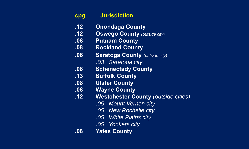| cpg              | <b>Jurisdiction</b>                        |
|------------------|--------------------------------------------|
| $\overline{.12}$ | <b>Onondaga County</b>                     |
| .12              | <b>Oswego County (outside city)</b>        |
| .08              | <b>Putnam County</b>                       |
| .08              | <b>Rockland County</b>                     |
| .06              | <b>Saratoga County (outside city)</b>      |
|                  | .03 Saratoga city                          |
| .08              | <b>Schenectady County</b>                  |
| .13              | <b>Suffolk County</b>                      |
| .08              | <b>Ulster County</b>                       |
| .08              | <b>Wayne County</b>                        |
| .12              | <b>Westchester County (outside cities)</b> |
|                  | .05 Mount Vernon city                      |
|                  | .05 New Rochelle city                      |
|                  | .05 White Plains city                      |
|                  | .05 Yonkers city                           |
| .08              | <b>Yates County</b>                        |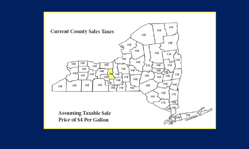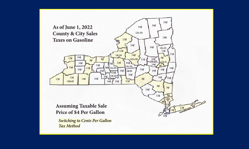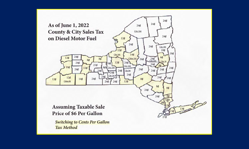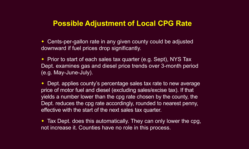### **Possible Adjustment of Local CPG Rate**

◆ Cents-per-gallon rate in any given county could be adjusted downward if fuel prices drop significantly.

◆ Prior to start of each sales tax quarter (e.g. Sept), NYS Tax Dept. examines gas and diesel price trends over 3-month period (e.g. May-June-July).

• Dept. applies county's percentage sales tax rate to new average price of motor fuel and diesel (excluding sales/excise tax). If that yields a number lower than the cpg rate chosen by the county, the Dept. reduces the cpg rate accordingly, rounded to nearest penny, effective with the start of the next sales tax quarter.

• Tax Dept. does this automatically. They can only lower the cpg, not increase it. Counties have no role in this process.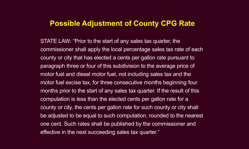### **Possible Adjustment of County CPG Rate**

STATE LAW: "Prior to the start of any sales tax quarter, the commissioner shall apply the local percentage sales tax rate of each county or city that has elected a cents per gallon rate pursuant to paragraph three or four of this subdivision to the average price of motor fuel and diesel motor fuel, not including sales tax and the motor fuel excise tax, for three consecutive months beginning four months prior to the start of any sales tax quarter. If the result of this computation is less than the elected cents per gallon rate for a county or city, the cents per gallon rate for such county or city shall be adjusted to be equal to such computation, rounded to the nearest one cent. Such rates shall be published by the commissioner and effective in the next succeeding sales tax quarter."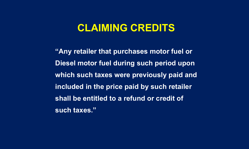### **CLAIMING CREDITS**

**"Any retailer that purchases motor fuel or Diesel motor fuel during such period upon which such taxes were previously paid and included in the price paid by such retailer shall be entitled to a refund or credit of such taxes."**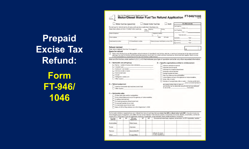**Prepaid Excise Tax Refund: Form FT-946/**

**1046**

|                                                  |                                                          | Motor fuel tax (gasoline)                                                                                                               |                   |           | Diesel motor fuel tax                    | Both                                                                                 |                                        | For office use only                                                                                                                                                                                                                                                                                                                    |
|--------------------------------------------------|----------------------------------------------------------|-----------------------------------------------------------------------------------------------------------------------------------------|-------------------|-----------|------------------------------------------|--------------------------------------------------------------------------------------|----------------------------------------|----------------------------------------------------------------------------------------------------------------------------------------------------------------------------------------------------------------------------------------------------------------------------------------------------------------------------------------|
|                                                  |                                                          | Do not use for refund claims of sales and use tax or petroleum business tax.                                                            |                   |           |                                          |                                                                                      | Line 9 gallons                         | $x$ \$.064 = \$                                                                                                                                                                                                                                                                                                                        |
|                                                  |                                                          | Read instructions in Form FT-946/1046-I carefully.                                                                                      | Filing<br>period: | Beginning |                                          | Ending                                                                               | Line 10 gallons                        |                                                                                                                                                                                                                                                                                                                                        |
| Name of claimant                                 |                                                          |                                                                                                                                         |                   |           | Telephone number                         |                                                                                      |                                        | $x$ \$.08 = \$                                                                                                                                                                                                                                                                                                                         |
|                                                  |                                                          |                                                                                                                                         |                   |           |                                          |                                                                                      |                                        | Total refunds \$                                                                                                                                                                                                                                                                                                                       |
| Street address                                   |                                                          | City                                                                                                                                    |                   |           | State                                    | ZIP code                                                                             |                                        | Audited by: Date:                                                                                                                                                                                                                                                                                                                      |
| Social security number                           |                                                          | NYS identification number                                                                                                               |                   |           |                                          | Federal employer identification number (EIN)                                         |                                        |                                                                                                                                                                                                                                                                                                                                        |
|                                                  |                                                          |                                                                                                                                         |                   |           |                                          |                                                                                      | Approved by: ________________ Date: __ |                                                                                                                                                                                                                                                                                                                                        |
| <b>Refund claimed</b><br><b>Basis for refund</b> |                                                          | or other substantiation as required by all forms and mail all forms in one envelope.                                                    |                   |           |                                          |                                                                                      |                                        | \$<br>Mark an X in this box if you are filing multiple claims for refunds of motor/diesel motor fuel tax, sales tax, or petroleum business tax for the same period and<br>gallonage. You must file this form and the appropriate sales tax refund claim form and/or petroleum business tax refund claim form together. Attach invoices |
|                                                  |                                                          |                                                                                                                                         |                   |           |                                          |                                                                                      |                                        | Mark an X in the box under section A, B, C, or D that indicates your type of operation and enter any other requested information.                                                                                                                                                                                                      |
| A - Nontaxable use (off highway)                 |                                                          |                                                                                                                                         |                   |           |                                          | D - Specific organizations entitled to reimbursement                                 |                                        |                                                                                                                                                                                                                                                                                                                                        |
|                                                  |                                                          | Farmer - number of acres under cultivation ___________                                                                                  |                   |           |                                          | Voluntary ambulance service                                                          |                                        |                                                                                                                                                                                                                                                                                                                                        |
| Industrial type                                  |                                                          |                                                                                                                                         |                   |           |                                          | Volunteer rescue squad                                                               |                                        |                                                                                                                                                                                                                                                                                                                                        |
|                                                  | Contractor - job location<br>Vehicles on rails or tracks |                                                                                                                                         |                   |           |                                          | Volunteer fire company/department<br>Nonpublic school operator                       |                                        |                                                                                                                                                                                                                                                                                                                                        |
|                                                  | Commercial boats                                         |                                                                                                                                         |                   |           |                                          | Exempt hospital (number)                                                             |                                        |                                                                                                                                                                                                                                                                                                                                        |
| Aircraft                                         |                                                          |                                                                                                                                         |                   |           |                                          | New York State and its municipalities                                                |                                        |                                                                                                                                                                                                                                                                                                                                        |
| Other (explain) _                                | Refrigerator (reefer) unit                               |                                                                                                                                         |                   |           |                                          | United States and any of its agencies or instrumentalities<br>Indian tribe or nation |                                        |                                                                                                                                                                                                                                                                                                                                        |
|                                                  |                                                          |                                                                                                                                         |                   |           |                                          |                                                                                      |                                        | Member of exempt Indian tribe or nation - I hereby certify that I,                                                                                                                                                                                                                                                                     |
| <b>B</b> - Refund assignment                     |                                                          |                                                                                                                                         |                   |           |                                          |                                                                                      | the exempt Indian tribe or nation of   | _, am an enrolled member of                                                                                                                                                                                                                                                                                                            |
|                                                  |                                                          | Used by snowmobile club members (motor fuel)                                                                                            |                   |           |                                          |                                                                                      |                                        | and that the fuel for which this refund is claimed was delivered                                                                                                                                                                                                                                                                       |
| Other (explain)                                  |                                                          |                                                                                                                                         |                   |           |                                          |                                                                                      | to me on the reservation.              |                                                                                                                                                                                                                                                                                                                                        |
| C - Nontaxable sales                             |                                                          |                                                                                                                                         |                   |           |                                          |                                                                                      |                                        |                                                                                                                                                                                                                                                                                                                                        |
|                                                  |                                                          | To New York State and its municipalities                                                                                                |                   |           |                                          |                                                                                      |                                        |                                                                                                                                                                                                                                                                                                                                        |
|                                                  |                                                          | To the United States and any of its agencies or instrumentalities                                                                       |                   |           |                                          |                                                                                      |                                        |                                                                                                                                                                                                                                                                                                                                        |
|                                                  | To airlines (kero-jet fuel)                              | For heating purposes (diesel motor fuel)                                                                                                |                   |           |                                          |                                                                                      |                                        |                                                                                                                                                                                                                                                                                                                                        |
|                                                  | To exempt hospitals (motor fuel)                         |                                                                                                                                         |                   |           |                                          |                                                                                      |                                        |                                                                                                                                                                                                                                                                                                                                        |
|                                                  |                                                          | For immediate export (motor fuel)                                                                                                       |                   |           |                                          |                                                                                      |                                        |                                                                                                                                                                                                                                                                                                                                        |
|                                                  |                                                          | Sales of E85 to filling stations on or after September 1, 2006                                                                          |                   |           |                                          |                                                                                      |                                        |                                                                                                                                                                                                                                                                                                                                        |
|                                                  |                                                          |                                                                                                                                         |                   |           |                                          |                                                                                      |                                        |                                                                                                                                                                                                                                                                                                                                        |
|                                                  |                                                          |                                                                                                                                         |                   |           |                                          |                                                                                      |                                        | For the motor vehicles or equipment you own, indicate how many of each type that uses motor fuel (MF) or diesel motor fuel (DMF). If you do not own any<br>of the following types of equipment, enter N/A in the box where indicated. If the fuel was used in a commercial motor boat, airplane, snowmobile, or all-terrain            |
|                                                  |                                                          | vehicle (ATV), list the type of fuel and registration number(s), if applicable, where indicated. Attach additional sheets if necessary. |                   |           |                                          |                                                                                      |                                        |                                                                                                                                                                                                                                                                                                                                        |
| MF<br>On-road<br>vehicles                        | <b>DMF</b>                                               | Off-road<br>equipment                                                                                                                   | MF                | DMF       |                                          |                                                                                      |                                        | Commercial motor boat, airplane, snowmobile, or ATV registration number                                                                                                                                                                                                                                                                |
| Automobiles                                      |                                                          | Motor boats                                                                                                                             |                   |           |                                          |                                                                                      |                                        |                                                                                                                                                                                                                                                                                                                                        |
| <b>Trucks</b>                                    |                                                          | Airplanes                                                                                                                               |                   |           |                                          |                                                                                      |                                        |                                                                                                                                                                                                                                                                                                                                        |
| Tractors                                         |                                                          | Snowmobiles/ATV                                                                                                                         |                   |           |                                          |                                                                                      |                                        |                                                                                                                                                                                                                                                                                                                                        |
|                                                  |                                                          | Pumps/Other                                                                                                                             |                   |           | Indicate the types<br>of other machinery |                                                                                      |                                        |                                                                                                                                                                                                                                                                                                                                        |
| Other                                            |                                                          |                                                                                                                                         |                   |           |                                          |                                                                                      |                                        |                                                                                                                                                                                                                                                                                                                                        |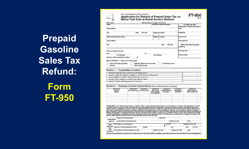Prepaid **Gasoline Sales Tax Refund: Form FT-950** 

**FT-950** Application for Refund of Prepaid Sales Tax on **Motor Fuel Sold at Retail Service Stations** Print or type (See instructions on page 2 of this form) Certificate of Authority number Name For office use only Department of Taxation and Finance **Cotal** Street address Audited by City State ZIP code Telephone number Name of representative (f any) Telephone number Approved by Street address Date approved City State ZIP code Office of the State Comptroller audited by Date approved Period covered by this claim: From: To: (mm/dd/yyyy) Check number (mm/dd/yyyy) Sales tax rate at business location Type of business - (mark an X in all that apply) Convenience store Motor fuel sales (gasoline) Highway cliesel motor fuel sales **Repairs** Other sales (explain) Section 1 - Computation of refund 1 Amount of sales tax due on motor fuel sold during period.... 2 Amount of sales tax prepaid to suppliers on motor fuel sold during period...  $\overline{2}$ 3 Amount eligible for credit or refund (subtract line 2 from line 1) ..  $\mathbf{3}$ 4 Amount on line 3 taken as a credit on any sales tax return. **∴** 5 Amount of refund claimed (subtract line 4 from line 3).

 $(9/11)$ 

New York State Department of Taxation and Finance

### Section 2 - Summary of motor fuel purchases (attach additional sheets if necessary)

| Column A<br>Name of<br>supplier | Column B<br>Date of purchase Invoice number | Column <sub>C</sub> | Column D<br>Type of fuel<br>for unleaded<br>P for premium | Column E<br>Prepaid sales tax<br>per gallon | Column F<br>Total gallons<br>purchased | Column G<br>Prepaid sales tax<br>paid on purchase |
|---------------------------------|---------------------------------------------|---------------------|-----------------------------------------------------------|---------------------------------------------|----------------------------------------|---------------------------------------------------|
|                                 |                                             |                     |                                                           |                                             |                                        |                                                   |
|                                 |                                             |                     |                                                           |                                             |                                        |                                                   |
|                                 |                                             |                     |                                                           |                                             |                                        |                                                   |

Certification: I, the claman ramed above, or partner, officer, or other authorized representative of such applicant, do hereby: make application for refund<br>of prepaid sales tax, pursuant to New York State Tax Law; and cert Tax Law, punishable by a substantial fine and a possible jail sentence; and understand that the Tax Department is authorized to investigate the validity or the<br>credit or refund claimed and the accuracy of any information p

| Signature of authorized person<br>Authorized  |  |                                                    | Official title |                  |                    |                        |
|-----------------------------------------------|--|----------------------------------------------------|----------------|------------------|--------------------|------------------------|
| E-mail address of authorized person<br>person |  |                                                    |                |                  | Telechone number   | Date                   |
| Paid                                          |  | Firm's name (or yours if self-employed)            |                |                  | Firm's EIN         | Proparer's PTIN or SSN |
| preparer<br>use<br>only<br>(see instr.)       |  | Signature of individual preparing this return      | Address        |                  | City               | ZIP code<br>State      |
|                                               |  | E-mail address of individual preparing this return |                | Telephone number | Preparer's NYTPRIN | Date                   |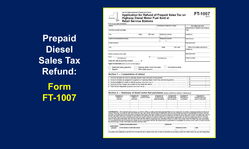**Prepaid Diesel Sales Tax Refund: Form** 

**FT-1007** 

New York State Department of Taxation and Finance FT-1007 Application for Refund of Prepaid Sales Tax on  $(9/11)$ Highway Diesel Motor Fuel Sold at **Retail Service Stations** Print or type (see instructions) Name Certificate of authority number For office use only Department of Taxation and Finance Address (number and street) Total State ZIP code City Telephone number Audited by Name of representative (if any). Telephone number Approved by Street address Date approved City State: ZIP code Office of the State Comptroller udited by Date approved Period covered by this claim: From: Check number  $(mm/dd)$ yyyy) (mm/dd/yyyy) Sales tax rate at business location. Type of business (Mark an X in all that apply.) Motor fuel sales (gasoline) Highway diesel motor fuel sales Convenience store Repairs Other sales rexplaint Section 1 - Computation of refund

| 1 Amount of sales tax due on highway diesel motor fuel sold during period                  |  |
|--------------------------------------------------------------------------------------------|--|
| 2 Amount of sales tax prepaid to suppliers on highway diesel motor fuel sold during period |  |
|                                                                                            |  |
|                                                                                            |  |
|                                                                                            |  |

### Section 2 - Summary of diesel motor fuel purchases (amach additional sheets if necessary)

| Column A<br>Name of<br>supplier | Column <sub>B</sub><br>Date of<br>purchase | Column <sub>C</sub><br>invoice number | Column D<br>Product code<br>(see instructions) | Column E<br>Prepaid sales<br>tax per gallon | Column F<br>Total gallons<br>purchased | Column G<br>Prepaid sales tax<br>paid on purchase |
|---------------------------------|--------------------------------------------|---------------------------------------|------------------------------------------------|---------------------------------------------|----------------------------------------|---------------------------------------------------|
|                                 |                                            |                                       |                                                |                                             |                                        |                                                   |

Certification: i, the claimant named above, or partner, officer, or other authorized representative of such applicant, do hereby: make application for refund of prepaid sales tax, pursuant to New York State Tax Law; and certify that the above statements, and any documents provided to substantiate the refund claimed, are true, complete and correct and that no material information has been omitted; and certify that all of the tax for which this claim is fied has been paid, and no portion has been previously credited or refunded to the applicant by any person required to collect tax: or if the claim for refund is made by a person required to collect tax, that no amount claimed has previously been subject to a credit or refund; and make these statements with the knowledge that wilfully providing faise or fraudulent information with this document with the intent to evade tax may constitute a felony or other crime under New York State Tax Law, punishable by a substantial fine and a possible jail sentence; and understand that the Tax Department is authorized to investigate the validity of the credit or refund claimed and the accuracy of any information provided with this claim.

| Authorized | Signature of authorized person                        | Official title |                  |      |  |
|------------|-------------------------------------------------------|----------------|------------------|------|--|
| person     | E-mail address of authorized person<br><b>TERRITA</b> |                | Telephone number | Date |  |

Any person who attempts to use this form to evade the tax on diesel motor fuel is liable for penalties as provided by New York State Sales Tax Law and Regulations.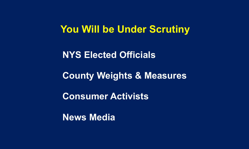### **You Will be Under Scrutiny**

### **NYS Elected Officials**

### **County Weights & Measures**

**Consumer Activists**

**News Media**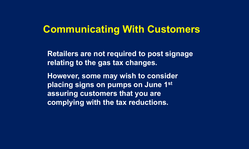### **Communicating With Customers**

**Retailers are not required to post signage relating to the gas tax changes.**

**However, some may wish to consider placing signs on pumps on June 1st assuring customers that you are complying with the tax reductions.**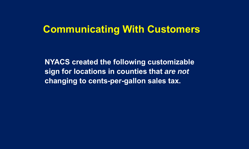## **Communicating With Customers**

**NYACS created the following customizable sign for locations in counties that** *are not*  **changing to cents-per-gallon sales tax.**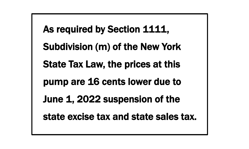As required by Section 1111, Subdivision (m) of the New York State Tax Law, the prices at this pump are 16 cents lower due to June 1, 2022 suspension of the state excise tax and state sales tax.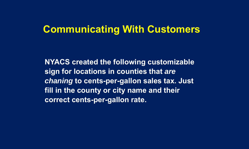# **Communicating With Customers**

**NYACS created the following customizable sign for locations in counties that** *are chaning* **to cents-per-gallon sales tax. Just fill in the county or city name and their correct cents-per-gallon rate.**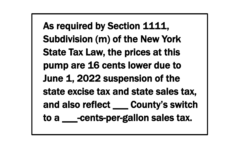As required by Section 1111, Subdivision (m) of the New York State Tax Law, the prices at this pump are 16 cents lower due to June 1, 2022 suspension of the state excise tax and state sales tax, and also reflect \_\_\_ County's switch to a \_\_\_ -cents-per-gallon sales tax.